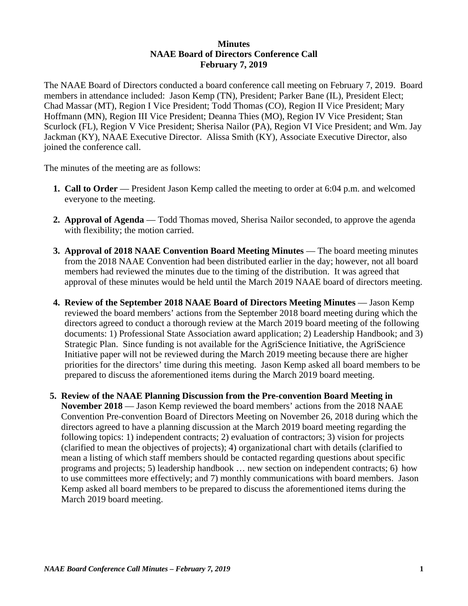## **Minutes NAAE Board of Directors Conference Call February 7, 2019**

The NAAE Board of Directors conducted a board conference call meeting on February 7, 2019. Board members in attendance included: Jason Kemp (TN), President; Parker Bane (IL), President Elect; Chad Massar (MT), Region I Vice President; Todd Thomas (CO), Region II Vice President; Mary Hoffmann (MN), Region III Vice President; Deanna Thies (MO), Region IV Vice President; Stan Scurlock (FL), Region V Vice President; Sherisa Nailor (PA), Region VI Vice President; and Wm. Jay Jackman (KY), NAAE Executive Director. Alissa Smith (KY), Associate Executive Director, also joined the conference call.

The minutes of the meeting are as follows:

- **1. Call to Order** President Jason Kemp called the meeting to order at 6:04 p.m. and welcomed everyone to the meeting.
- **2. Approval of Agenda**  Todd Thomas moved, Sherisa Nailor seconded, to approve the agenda with flexibility; the motion carried.
- **3. Approval of 2018 NAAE Convention Board Meeting Minutes**  The board meeting minutes from the 2018 NAAE Convention had been distributed earlier in the day; however, not all board members had reviewed the minutes due to the timing of the distribution. It was agreed that approval of these minutes would be held until the March 2019 NAAE board of directors meeting.
- **4. Review of the September 2018 NAAE Board of Directors Meeting Minutes** Jason Kemp reviewed the board members' actions from the September 2018 board meeting during which the directors agreed to conduct a thorough review at the March 2019 board meeting of the following documents: 1) Professional State Association award application; 2) Leadership Handbook; and 3) Strategic Plan. Since funding is not available for the AgriScience Initiative, the AgriScience Initiative paper will not be reviewed during the March 2019 meeting because there are higher priorities for the directors' time during this meeting. Jason Kemp asked all board members to be prepared to discuss the aforementioned items during the March 2019 board meeting.
- **5. Review of the NAAE Planning Discussion from the Pre-convention Board Meeting in November 2018** — Jason Kemp reviewed the board members' actions from the 2018 NAAE Convention Pre-convention Board of Directors Meeting on November 26, 2018 during which the directors agreed to have a planning discussion at the March 2019 board meeting regarding the following topics: 1) independent contracts; 2) evaluation of contractors; 3) vision for projects (clarified to mean the objectives of projects); 4) organizational chart with details (clarified to mean a listing of which staff members should be contacted regarding questions about specific programs and projects; 5) leadership handbook … new section on independent contracts; 6) how to use committees more effectively; and 7) monthly communications with board members. Jason Kemp asked all board members to be prepared to discuss the aforementioned items during the March 2019 board meeting.